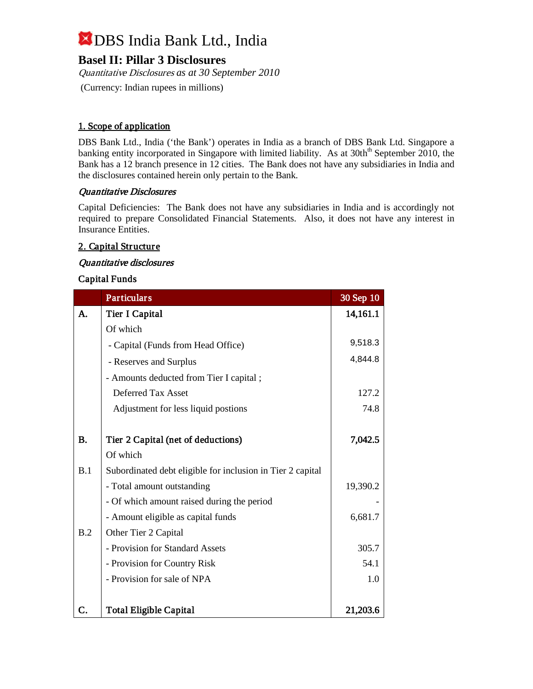# **Basel II: Pillar 3 Disclosures**

Quantitative Disclosures *as at 30 September 2010* (Currency: Indian rupees in millions)

# 1. Scope of application

DBS Bank Ltd., India ('the Bank') operates in India as a branch of DBS Bank Ltd. Singapore a banking entity incorporated in Singapore with limited liability. As at 30th<sup>th</sup> September 2010, the Bank has a 12 branch presence in 12 cities. The Bank does not have any subsidiaries in India and the disclosures contained herein only pertain to the Bank.

## Quantitative Disclosures

Capital Deficiencies: The Bank does not have any subsidiaries in India and is accordingly not required to prepare Consolidated Financial Statements. Also, it does not have any interest in Insurance Entities.

# 2. Capital Structure

## Quantitative disclosures

## Capital Funds

|           | <b>Particulars</b>                                         | 30 Sep 10 |
|-----------|------------------------------------------------------------|-----------|
| A.        | Tier I Capital                                             | 14,161.1  |
|           | Of which                                                   |           |
|           | - Capital (Funds from Head Office)                         | 9,518.3   |
|           | - Reserves and Surplus                                     | 4,844.8   |
|           | - Amounts deducted from Tier I capital;                    |           |
|           | Deferred Tax Asset                                         | 127.2     |
|           | Adjustment for less liquid postions                        | 74.8      |
|           |                                                            |           |
| <b>B.</b> | Tier 2 Capital (net of deductions)                         | 7,042.5   |
|           | Of which                                                   |           |
| B.1       | Subordinated debt eligible for inclusion in Tier 2 capital |           |
|           | - Total amount outstanding                                 | 19,390.2  |
|           | - Of which amount raised during the period                 |           |
|           | - Amount eligible as capital funds                         | 6,681.7   |
| B.2       | Other Tier 2 Capital                                       |           |
|           | - Provision for Standard Assets                            | 305.7     |
|           | - Provision for Country Risk                               | 54.1      |
|           | - Provision for sale of NPA                                | 1.0       |
|           |                                                            |           |
| C.        | Total Eligible Capital                                     | 21,203.6  |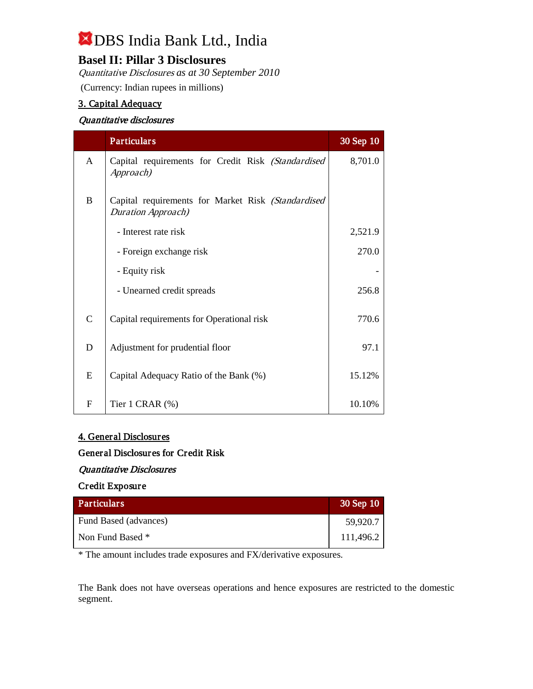# **Basel II: Pillar 3 Disclosures**

Quantitative Disclosures *as at 30 September 2010* (Currency: Indian rupees in millions)

# 3. Capital Adequacy

## Quantitative disclosures

|              | <b>Particulars</b>                                                               | 30 Sep 10 |
|--------------|----------------------------------------------------------------------------------|-----------|
| A            | Capital requirements for Credit Risk (Standardised<br>Approach)                  | 8,701.0   |
| $\mathbf{B}$ | Capital requirements for Market Risk (Standardised<br><b>Duration Approach</b> ) |           |
|              | - Interest rate risk                                                             | 2,521.9   |
|              | - Foreign exchange risk                                                          | 270.0     |
|              | - Equity risk                                                                    |           |
|              | - Unearned credit spreads                                                        | 256.8     |
| $\mathsf{C}$ | Capital requirements for Operational risk                                        | 770.6     |
| D            | Adjustment for prudential floor                                                  | 97.1      |
| E            | Capital Adequacy Ratio of the Bank (%)                                           | 15.12%    |
| $\mathbf F$  | Tier 1 CRAR $(\%)$                                                               | 10.10%    |

#### 4. General Disclosures

## General Disclosures for Credit Risk

#### Quantitative Disclosures

#### Credit Exposure

| <b>Particulars</b>    | $30$ Sep $10$ |
|-----------------------|---------------|
| Fund Based (advances) | 59,920.7      |
| Non Fund Based *      | 111,496.2     |

\* The amount includes trade exposures and FX/derivative exposures.

The Bank does not have overseas operations and hence exposures are restricted to the domestic segment.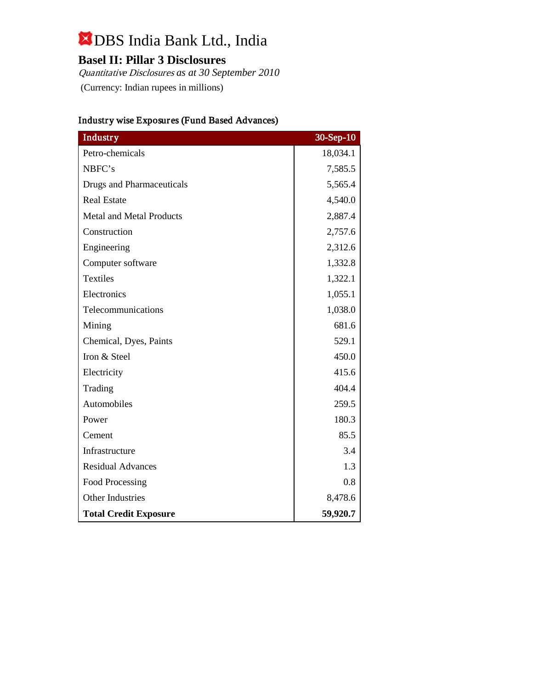# **Basel II: Pillar 3 Disclosures**

Quantitative Disclosures *as at 30 September 2010* (Currency: Indian rupees in millions)

| Industry                         | 30-Sep-10 |
|----------------------------------|-----------|
| Petro-chemicals                  | 18,034.1  |
| NBFC's                           | 7,585.5   |
| <b>Drugs and Pharmaceuticals</b> | 5,565.4   |
| <b>Real Estate</b>               | 4,540.0   |
| <b>Metal and Metal Products</b>  | 2,887.4   |
| Construction                     | 2,757.6   |
| Engineering                      | 2,312.6   |
| Computer software                | 1,332.8   |
| <b>Textiles</b>                  | 1,322.1   |
| Electronics                      | 1,055.1   |
| Telecommunications               | 1,038.0   |
| Mining                           | 681.6     |
| Chemical, Dyes, Paints           | 529.1     |
| Iron & Steel                     | 450.0     |
| Electricity                      | 415.6     |
| Trading                          | 404.4     |
| Automobiles                      | 259.5     |
| Power                            | 180.3     |
| Cement                           | 85.5      |
| Infrastructure                   | 3.4       |
| <b>Residual Advances</b>         | 1.3       |
| Food Processing                  | 0.8       |
| <b>Other Industries</b>          | 8,478.6   |
| <b>Total Credit Exposure</b>     | 59,920.7  |

# Industry wise Exposures (Fund Based Advances)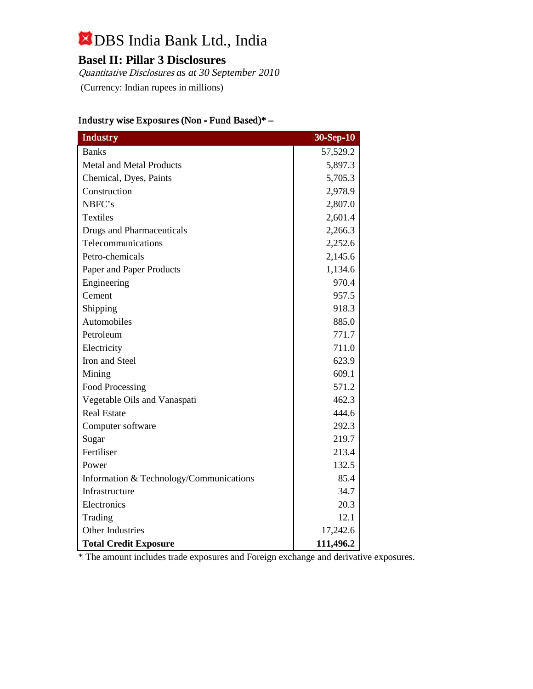# **Basel II: Pillar 3 Disclosures**

Quantitative Disclosures *as at 30 September 2010* (Currency: Indian rupees in millions)

| <b>Industry</b>                         | $30 - Sep-10$ |
|-----------------------------------------|---------------|
| <b>Banks</b>                            | 57,529.2      |
| <b>Metal and Metal Products</b>         | 5,897.3       |
| Chemical, Dyes, Paints                  | 5,705.3       |
| Construction                            | 2,978.9       |
| NBFC's                                  | 2,807.0       |
| Textiles                                | 2,601.4       |
| <b>Drugs and Pharmaceuticals</b>        | 2,266.3       |
| Telecommunications                      | 2,252.6       |
| Petro-chemicals                         | 2,145.6       |
| Paper and Paper Products                | 1,134.6       |
| Engineering                             | 970.4         |
| Cement                                  | 957.5         |
| Shipping                                | 918.3         |
| Automobiles                             | 885.0         |
| Petroleum                               | 771.7         |
| Electricity                             | 711.0         |
| Iron and Steel                          | 623.9         |
| Mining                                  | 609.1         |
| <b>Food Processing</b>                  | 571.2         |
| Vegetable Oils and Vanaspati            | 462.3         |
| <b>Real Estate</b>                      | 444.6         |
| Computer software                       | 292.3         |
| Sugar                                   | 219.7         |
| Fertiliser                              | 213.4         |
| Power                                   | 132.5         |
| Information & Technology/Communications | 85.4          |
| Infrastructure                          | 34.7          |
| Electronics                             | 20.3          |
| Trading                                 | 12.1          |
| <b>Other Industries</b>                 | 17,242.6      |
| <b>Total Credit Exposure</b>            | 111,496.2     |

# Industry wise Exposures (Non - Fund Based)\* –

\* The amount includes trade exposures and Foreign exchange and derivative exposures.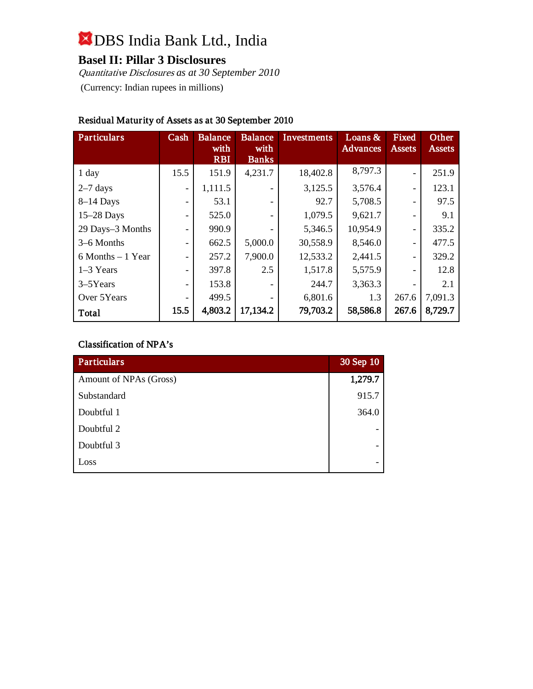# **Basel II: Pillar 3 Disclosures**

Quantitative Disclosures *as at 30 September 2010* (Currency: Indian rupees in millions)

| <b>Particulars</b>   | Cash                     | <b>Balance</b><br>with<br><b>RBI</b> | <b>Balance</b><br>with<br><b>Banks</b> | <b>Investments</b> | Loans $\&$<br>Advances | Fixed<br><b>Assets</b>       | Other<br><b>Assets</b> |
|----------------------|--------------------------|--------------------------------------|----------------------------------------|--------------------|------------------------|------------------------------|------------------------|
| 1 day                | 15.5                     | 151.9                                | 4,231.7                                | 18,402.8           | 8,797.3                | $\overline{a}$               | 251.9                  |
| $2-7$ days           | $\overline{\phantom{a}}$ | 1,111.5                              | $\overline{\phantom{0}}$               | 3,125.5            | 3,576.4                | $\overline{\phantom{0}}$     | 123.1                  |
| $8-14$ Days          | -                        | 53.1                                 |                                        | 92.7               | 5,708.5                | $\qquad \qquad \blacksquare$ | 97.5                   |
| $15-28$ Days         | $\overline{\phantom{0}}$ | 525.0                                |                                        | 1,079.5            | 9,621.7                | $\qquad \qquad \blacksquare$ | 9.1                    |
| 29 Days-3 Months     | $\overline{\phantom{0}}$ | 990.9                                |                                        | 5,346.5            | 10,954.9               | $\qquad \qquad \blacksquare$ | 335.2                  |
| 3–6 Months           | $\overline{\phantom{a}}$ | 662.5                                | 5,000.0                                | 30,558.9           | 8,546.0                | $\qquad \qquad \blacksquare$ | 477.5                  |
| $6$ Months $-1$ Year | $\overline{\phantom{0}}$ | 257.2                                | 7,900.0                                | 12,533.2           | 2,441.5                | $\qquad \qquad \blacksquare$ | 329.2                  |
| $1-3$ Years          | $\overline{\phantom{0}}$ | 397.8                                | 2.5                                    | 1,517.8            | 5,575.9                |                              | 12.8                   |
| $3-5$ Years          | $\overline{\phantom{0}}$ | 153.8                                |                                        | 244.7              | 3,363.3                |                              | 2.1                    |
| Over 5Years          |                          | 499.5                                |                                        | 6,801.6            | 1.3                    | 267.6                        | 7,091.3                |
| Total                | 15.5                     | 4,803.2                              | 17,134.2                               | 79,703.2           | 58,586.8               | 267.6                        | 8,729.7                |

# Residual Maturity of Assets as at 30 September 2010

#### Classification of NPA's

| Particulars            | 30 Sep 10 |
|------------------------|-----------|
| Amount of NPAs (Gross) | 1,279.7   |
| Substandard            | 915.7     |
| Doubtful 1             | 364.0     |
| Doubtful 2             |           |
| Doubtful 3             |           |
| Loss                   |           |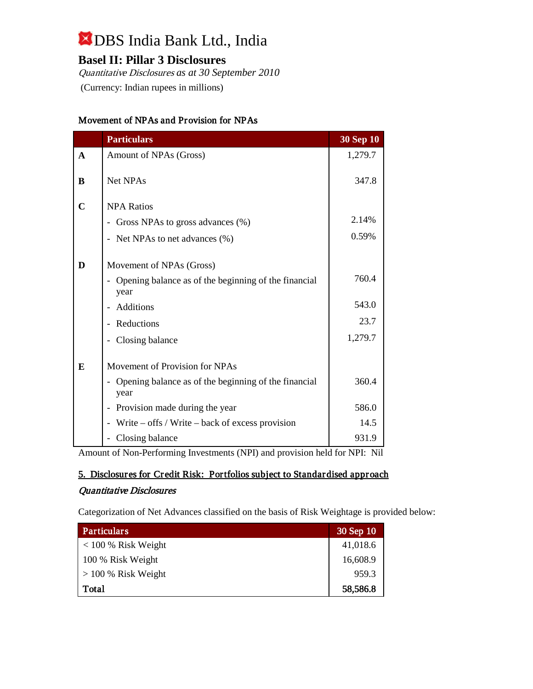# **Basel II: Pillar 3 Disclosures**

Quantitative Disclosures *as at 30 September 2010* (Currency: Indian rupees in millions)

#### Movement of NPAs and Provision for NPAs

|              | <b>Particulars</b>                                                               | <b>30 Sep 10</b> |
|--------------|----------------------------------------------------------------------------------|------------------|
| $\mathbf{A}$ | Amount of NPAs (Gross)                                                           | 1,279.7          |
| B            | <b>Net NPAs</b>                                                                  | 347.8            |
| $\mathbf C$  | <b>NPA Ratios</b>                                                                |                  |
|              | - Gross NPAs to gross advances (%)                                               | 2.14%            |
|              | - Net NPAs to net advances (%)                                                   | 0.59%            |
| D            | Movement of NPAs (Gross)<br>Opening balance as of the beginning of the financial | 760.4            |
|              | year                                                                             |                  |
|              | Additions                                                                        | 543.0            |
|              | Reductions<br>$\overline{\phantom{0}}$                                           | 23.7             |
|              | - Closing balance                                                                | 1,279.7          |
| E            | Movement of Provision for NPAs                                                   |                  |
|              | - Opening balance as of the beginning of the financial<br>year                   | 360.4            |
|              | Provision made during the year<br>$\qquad \qquad \blacksquare$                   | 586.0            |
|              | Write $-$ offs / Write $-$ back of excess provision                              | 14.5             |
|              | Closing balance                                                                  | 931.9            |

Amount of Non-Performing Investments (NPI) and provision held for NPI: Nil

## 5. Disclosures for Credit Risk: Portfolios subject to Standardised approach

#### Quantitative Disclosures

Categorization of Net Advances classified on the basis of Risk Weightage is provided below:

| <b>Particulars</b>    | 30 Sep 10 |
|-----------------------|-----------|
| $< 100 %$ Risk Weight | 41,018.6  |
| 100 % Risk Weight     | 16,608.9  |
| $> 100\%$ Risk Weight | 959.3     |
| Total                 | 58,586.8  |